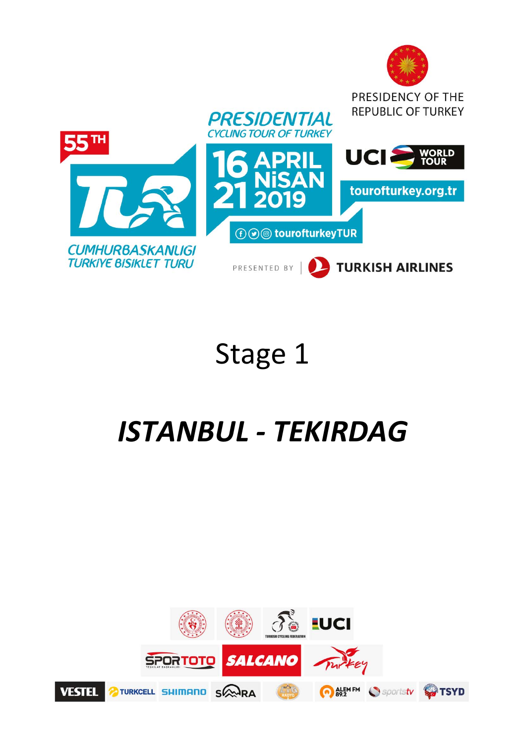

# Stage 1

# *ISTANBUL ‐ TEKIRDAG*

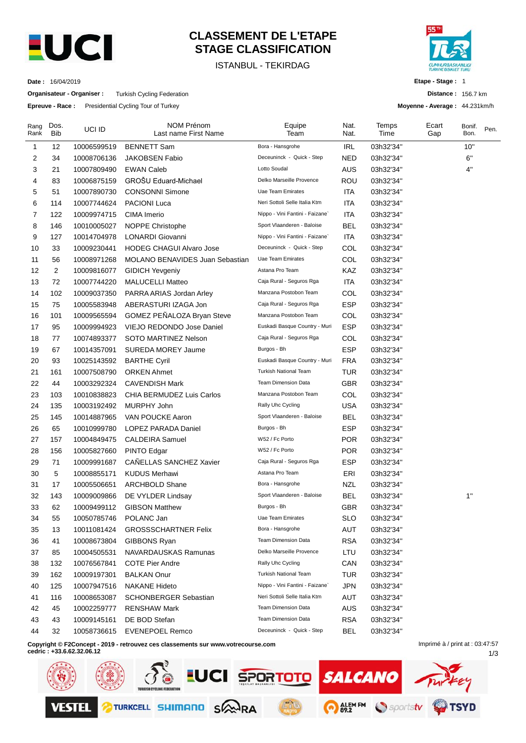

# **CLASSEMENT DE L'ETAPE STAGE CLASSIFICATION**

ISTANBUL - TEKIRDAG



**Etape - Stage :** 1

**Distance :** 156.7 km

1/3

**Moyenne - Average :** 44.231km/h

**Date :** 16/04/2019

**Organisateur - Organiser :** Turkish Cycling Federation

**Epreuve - Race :** Presidential Cycling Tour of Turkey

| Rang<br>Rank | Dos.<br><b>Bib</b> | UCI ID      | NOM Prénom<br>Last name First Name                                               | Equipe<br>Team                  | Nat.<br>Nat. | Temps<br>Time | Ecart<br>Gap                    | Bonif.<br>Bon. | Pen. |
|--------------|--------------------|-------------|----------------------------------------------------------------------------------|---------------------------------|--------------|---------------|---------------------------------|----------------|------|
| 1            | 12                 | 10006599519 | <b>BENNETT Sam</b>                                                               | Bora - Hansgrohe                | <b>IRL</b>   | 03h32'34"     |                                 | 10"            |      |
| 2            | 34                 | 10008706136 | <b>JAKOBSEN Fabio</b>                                                            | Deceuninck - Quick - Step       | <b>NED</b>   | 03h32'34"     |                                 | 6"             |      |
| 3            | 21                 | 10007809490 | <b>EWAN Caleb</b>                                                                | Lotto Soudal                    | AUS          | 03h32'34"     |                                 | 4"             |      |
| 4            | 83                 | 10006875159 | GROŠU Eduard-Michael                                                             | Delko Marseille Provence        | ROU          | 03h32'34"     |                                 |                |      |
| 5            | 51                 | 10007890730 | <b>CONSONNI Simone</b>                                                           | Uae Team Emirates               | ITA          | 03h32'34"     |                                 |                |      |
| 6            | 114                | 10007744624 | <b>PACIONI Luca</b>                                                              | Neri Sottoli Selle Italia Ktm   | ITA          | 03h32'34"     |                                 |                |      |
| 7            | 122                | 10009974715 | CIMA Imerio                                                                      | Nippo - Vini Fantini - Faizane` | ITA          | 03h32'34"     |                                 |                |      |
| 8            | 146                | 10010005027 | NOPPE Christophe                                                                 | Sport Vlaanderen - Baloise      | BEL          | 03h32'34"     |                                 |                |      |
| 9            | 127                | 10014704978 | <b>LONARDI Giovanni</b>                                                          | Nippo - Vini Fantini - Faizane` | <b>ITA</b>   | 03h32'34"     |                                 |                |      |
| 10           | 33                 | 10009230441 | <b>HODEG CHAGUI Alvaro Jose</b>                                                  | Deceuninck - Quick - Step       | COL          | 03h32'34"     |                                 |                |      |
| 11           | 56                 | 10008971268 | <b>MOLANO BENAVIDES Juan Sebastian</b>                                           | Uae Team Emirates               | COL          | 03h32'34"     |                                 |                |      |
| 12           | 2                  | 10009816077 | <b>GIDICH Yevgeniy</b>                                                           | Astana Pro Team                 | KAZ          | 03h32'34"     |                                 |                |      |
| 13           | 72                 | 10007744220 | <b>MALUCELLI Matteo</b>                                                          | Caja Rural - Seguros Rga        | <b>ITA</b>   | 03h32'34"     |                                 |                |      |
| 14           | 102                | 10009037350 | PARRA ARIAS Jordan Arley                                                         | Manzana Postobon Team           | COL          | 03h32'34"     |                                 |                |      |
| 15           | 75                 | 10005583948 | ABERASTURI IZAGA Jon                                                             | Caja Rural - Seguros Rga        | ESP          | 03h32'34"     |                                 |                |      |
| 16           | 101                | 10009565594 | GOMEZ PEÑALOZA Bryan Steve                                                       | Manzana Postobon Team           | COL          | 03h32'34"     |                                 |                |      |
| 17           | 95                 | 10009994923 | VIEJO REDONDO Jose Daniel                                                        | Euskadi Basque Country - Muri   | <b>ESP</b>   | 03h32'34"     |                                 |                |      |
| 18           | 77                 | 10074893377 | <b>SOTO MARTINEZ Nelson</b>                                                      | Caja Rural - Seguros Rga        | COL          | 03h32'34"     |                                 |                |      |
| 19           | 67                 | 10014357091 | SUREDA MOREY Jaume                                                               | Burgos - Bh                     | <b>ESP</b>   | 03h32'34"     |                                 |                |      |
| 20           | 93                 | 10025143592 | <b>BARTHE Cyril</b>                                                              | Euskadi Basque Country - Muri   | <b>FRA</b>   | 03h32'34"     |                                 |                |      |
| 21           | 161                | 10007508790 | <b>ORKEN Ahmet</b>                                                               | <b>Turkish National Team</b>    | <b>TUR</b>   | 03h32'34"     |                                 |                |      |
| 22           | 44                 | 10003292324 | <b>CAVENDISH Mark</b>                                                            | <b>Team Dimension Data</b>      | <b>GBR</b>   | 03h32'34"     |                                 |                |      |
| 23           | 103                | 10010838823 | CHIA BERMUDEZ Luis Carlos                                                        | Manzana Postobon Team           | COL          | 03h32'34"     |                                 |                |      |
| 24           | 135                | 10003192492 | <b>MURPHY John</b>                                                               | Rally Uhc Cycling               | <b>USA</b>   | 03h32'34"     |                                 |                |      |
| 25           | 145                | 10014887965 | VAN POUCKE Aaron                                                                 | Sport Vlaanderen - Baloise      | <b>BEL</b>   | 03h32'34"     |                                 |                |      |
| 26           | 65                 | 10010999780 | LOPEZ PARADA Daniel                                                              | Burgos - Bh                     | <b>ESP</b>   | 03h32'34"     |                                 |                |      |
| 27           | 157                | 10004849475 | <b>CALDEIRA Samuel</b>                                                           | W52 / Fc Porto                  | <b>POR</b>   | 03h32'34"     |                                 |                |      |
| 28           | 156                | 10005827660 | PINTO Edgar                                                                      | W52 / Fc Porto                  | POR          | 03h32'34"     |                                 |                |      |
| 29           | 71                 | 10009991687 | CAÑELLAS SANCHEZ Xavier                                                          | Caja Rural - Seguros Rga        | <b>ESP</b>   | 03h32'34"     |                                 |                |      |
| 30           | 5                  | 10008855171 | <b>KUDUS Merhawi</b>                                                             | Astana Pro Team                 | ERI          | 03h32'34"     |                                 |                |      |
| 31           | 17                 | 10005506651 | <b>ARCHBOLD Shane</b>                                                            | Bora - Hansgrohe                | NZL          | 03h32'34"     |                                 |                |      |
| 32           | 143                | 10009009866 | DE VYLDER Lindsay                                                                | Sport Vlaanderen - Baloise      | BEL          | 03h32'34"     |                                 | 1"             |      |
| 33           | 62                 | 10009499112 | <b>GIBSON Matthew</b>                                                            | Burgos - Bh                     | <b>GBR</b>   | 03h32'34"     |                                 |                |      |
| 34           | 55                 | 10050785746 | POLANC Jan                                                                       | Uae Team Emirates               | <b>SLO</b>   | 03h32'34"     |                                 |                |      |
| 35           | 13                 | 10011081424 | <b>GROSSSCHARTNER Felix</b>                                                      | Bora - Hansgrohe                | AUT          | 03h32'34"     |                                 |                |      |
| 36           | 41                 | 10008673804 | GIBBONS Ryan                                                                     | <b>Team Dimension Data</b>      | <b>RSA</b>   | 03h32'34"     |                                 |                |      |
| 37           | 85                 | 10004505531 | NAVARDAUSKAS Ramunas                                                             | Delko Marseille Provence        | LTU          | 03h32'34"     |                                 |                |      |
| 38           | 132                | 10076567841 | <b>COTE Pier Andre</b>                                                           | Rally Uhc Cycling               | CAN          | 03h32'34"     |                                 |                |      |
| 39           | 162                | 10009197301 | <b>BALKAN Onur</b>                                                               | Turkish National Team           | <b>TUR</b>   | 03h32'34"     |                                 |                |      |
| 40           | 125                | 10007947516 | <b>NAKANE Hideto</b>                                                             | Nippo - Vini Fantini - Faizane` | <b>JPN</b>   | 03h32'34"     |                                 |                |      |
| 41           | 116                | 10008653087 | <b>SCHONBERGER Sebastian</b>                                                     | Neri Sottoli Selle Italia Ktm   | AUT          | 03h32'34"     |                                 |                |      |
| 42           | 45                 | 10002259777 | <b>RENSHAW Mark</b>                                                              | <b>Team Dimension Data</b>      | AUS          | 03h32'34"     |                                 |                |      |
| 43           | 43                 | 10009145161 | DE BOD Stefan                                                                    | Team Dimension Data             | <b>RSA</b>   | 03h32'34"     |                                 |                |      |
| 44           | 32                 | 10058736615 | <b>EVENEPOEL Remco</b>                                                           | Deceuninck - Quick - Step       | <b>BEL</b>   | 03h32'34"     |                                 |                |      |
|              |                    |             | Copyright © F2Concept - 2019 - retrouvez ces classements sur www.votrecourse.com |                                 |              |               | Imprimé à / print at : 03:47:57 |                |      |

**Copyright © F2Concept - 2019 - retrouvez ces classements sur www.votrecourse.com**

**cedric : +33.6.62.32.06.12**

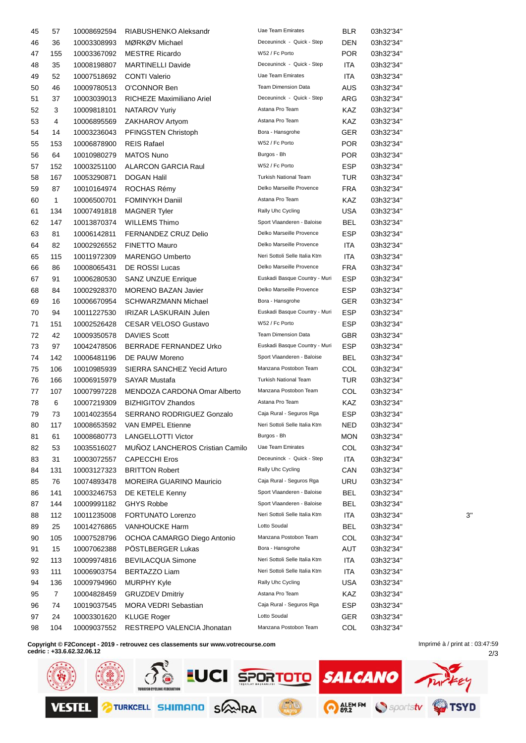| 45 | 57  | 10008692594 | RIABUSHENKO Aleksandr                                                            | Uae Team Emirates             | <b>BLR</b> | 03h32'34" |                      |
|----|-----|-------------|----------------------------------------------------------------------------------|-------------------------------|------------|-----------|----------------------|
| 46 | 36  | 10003308993 | MØRKØV Michael                                                                   | Deceuninck - Quick - Step     | DEN        | 03h32'34" |                      |
| 47 | 155 | 10003367092 | <b>MESTRE Ricardo</b>                                                            | W52 / Fc Porto                | <b>POR</b> | 03h32'34" |                      |
| 48 | 35  | 10008198807 | <b>MARTINELLI Davide</b>                                                         | Deceuninck - Quick - Step     | ITA        | 03h32'34" |                      |
| 49 | 52  | 10007518692 | <b>CONTI Valerio</b>                                                             | Uae Team Emirates             | ITA        | 03h32'34" |                      |
| 50 | 46  | 10009780513 | O'CONNOR Ben                                                                     | <b>Team Dimension Data</b>    | <b>AUS</b> | 03h32'34" |                      |
| 51 | 37  | 10003039013 | RICHEZE Maximiliano Ariel                                                        | Deceuninck - Quick - Step     | ARG        | 03h32'34" |                      |
| 52 | 3   | 10009818101 | NATAROV Yuriy                                                                    | Astana Pro Team               | KAZ        | 03h32'34" |                      |
| 53 | 4   | 10006895569 | ZAKHAROV Artyom                                                                  | Astana Pro Team               | KAZ        | 03h32'34" |                      |
| 54 | 14  | 10003236043 | PFINGSTEN Christoph                                                              | Bora - Hansgrohe              | <b>GER</b> | 03h32'34" |                      |
| 55 | 153 | 10006878900 | <b>REIS Rafael</b>                                                               | W52 / Fc Porto                | <b>POR</b> | 03h32'34" |                      |
| 56 | 64  | 10010980279 | <b>MATOS Nuno</b>                                                                | Burgos - Bh                   | <b>POR</b> | 03h32'34" |                      |
| 57 | 152 | 10003251100 | <b>ALARCON GARCIA Raul</b>                                                       | W52 / Fc Porto                | <b>ESP</b> | 03h32'34" |                      |
| 58 | 167 | 10053290871 | <b>DOGAN Halil</b>                                                               | <b>Turkish National Team</b>  | <b>TUR</b> | 03h32'34" |                      |
| 59 | 87  | 10010164974 | ROCHAS Rémy                                                                      | Delko Marseille Provence      | <b>FRA</b> | 03h32'34" |                      |
| 60 | 1   | 10006500701 | <b>FOMINYKH Daniil</b>                                                           | Astana Pro Team               | KAZ        | 03h32'34" |                      |
| 61 | 134 | 10007491818 | <b>MAGNER Tyler</b>                                                              | Rally Uhc Cycling             | <b>USA</b> | 03h32'34" |                      |
| 62 | 147 | 10013870374 | <b>WILLEMS Thimo</b>                                                             | Sport Vlaanderen - Baloise    | <b>BEL</b> | 03h32'34" |                      |
| 63 | 81  | 10006142811 | FERNANDEZ CRUZ Delio                                                             | Delko Marseille Provence      | ESP        | 03h32'34" |                      |
| 64 | 82  | 10002926552 | <b>FINETTO Mauro</b>                                                             | Delko Marseille Provence      | ITA        | 03h32'34" |                      |
| 65 | 115 | 10011972309 | <b>MARENGO Umberto</b>                                                           | Neri Sottoli Selle Italia Ktm | ITA        | 03h32'34" |                      |
| 66 | 86  |             | DE ROSSI Lucas                                                                   | Delko Marseille Provence      | <b>FRA</b> | 03h32'34" |                      |
|    |     | 10008065431 |                                                                                  | Euskadi Basque Country - Muri |            |           |                      |
| 67 | 91  | 10006280530 | <b>SANZ UNZUE Enrique</b>                                                        | Delko Marseille Provence      | <b>ESP</b> | 03h32'34" |                      |
| 68 | 84  | 10002928370 | <b>MORENO BAZAN Javier</b>                                                       |                               | <b>ESP</b> | 03h32'34" |                      |
| 69 | 16  | 10006670954 | <b>SCHWARZMANN Michael</b>                                                       | Bora - Hansgrohe              | <b>GER</b> | 03h32'34" |                      |
| 70 | 94  | 10011227530 | IRIZAR LASKURAIN Julen                                                           | Euskadi Basque Country - Muri | <b>ESP</b> | 03h32'34" |                      |
| 71 | 151 | 10002526428 | <b>CESAR VELOSO Gustavo</b>                                                      | W52 / Fc Porto                | <b>ESP</b> | 03h32'34" |                      |
| 72 | 42  | 10009350578 | DAVIES Scott                                                                     | <b>Team Dimension Data</b>    | <b>GBR</b> | 03h32'34" |                      |
| 73 | 97  | 10042478506 | BERRADE FERNANDEZ Urko                                                           | Euskadi Basque Country - Muri | <b>ESP</b> | 03h32'34" |                      |
| 74 | 142 | 10006481196 | DE PAUW Moreno                                                                   | Sport Vlaanderen - Baloise    | <b>BEL</b> | 03h32'34" |                      |
| 75 | 106 | 10010985939 | SIERRA SANCHEZ Yecid Arturo                                                      | Manzana Postobon Team         | COL        | 03h32'34" |                      |
| 76 | 166 | 10006915979 | <b>SAYAR Mustafa</b>                                                             | <b>Turkish National Team</b>  | <b>TUR</b> | 03h32'34" |                      |
| 77 | 107 | 10007997228 | MENDOZA CARDONA Omar Alberto                                                     | Manzana Postobon Team         | COL        | 03h32'34" |                      |
| 78 | 6   | 10007219309 | <b>BIZHIGITOV Zhandos</b>                                                        | Astana Pro Team               | KAZ        | 03h32'34" |                      |
| 79 | 73  | 10014023554 | <b>SERRANO RODRIGUEZ Gonzalo</b>                                                 | Caja Rural - Seguros Rga      | <b>ESP</b> | 03h32'34" |                      |
| 80 | 117 |             | 10008653592 VAN EMPEL Etienne                                                    | Neri Sottoli Selle Italia Ktm | <b>NED</b> | 03h32'34" |                      |
| 81 | 61  | 10008680773 | <b>LANGELLOTTI Victor</b>                                                        | Burgos - Bh                   | MON        | 03h32'34" |                      |
| 82 | 53  | 10035516027 | MUÑOZ LANCHEROS Cristian Camilo                                                  | Uae Team Emirates             | COL        | 03h32'34" |                      |
| 83 | 31  | 10003072557 | <b>CAPECCHI Eros</b>                                                             | Deceuninck - Quick - Step     | ITA        | 03h32'34" |                      |
| 84 | 131 | 10003127323 | <b>BRITTON Robert</b>                                                            | Rally Uhc Cycling             | CAN        | 03h32'34" |                      |
| 85 | 76  | 10074893478 | <b>MOREIRA GUARINO Mauricio</b>                                                  | Caja Rural - Seguros Rga      | URU        | 03h32'34" |                      |
| 86 | 141 | 10003246753 | DE KETELE Kenny                                                                  | Sport Vlaanderen - Baloise    | <b>BEL</b> | 03h32'34" |                      |
| 87 | 144 | 10009991182 | <b>GHYS Robbe</b>                                                                | Sport Vlaanderen - Baloise    | <b>BEL</b> | 03h32'34" |                      |
| 88 | 112 | 10011235008 | FORTUNATO Lorenzo                                                                | Neri Sottoli Selle Italia Ktm | ITA        | 03h32'34" | 3'                   |
| 89 | 25  | 10014276865 | <b>VANHOUCKE Harm</b>                                                            | Lotto Soudal                  | <b>BEL</b> | 03h32'34" |                      |
| 90 | 105 | 10007528796 | OCHOA CAMARGO Diego Antonio                                                      | Manzana Postobon Team         | COL        | 03h32'34" |                      |
| 91 | 15  | 10007062388 | PÖSTLBERGER Lukas                                                                | Bora - Hansgrohe              | AUT        | 03h32'34" |                      |
| 92 | 113 | 10009974816 | <b>BEVILACQUA Simone</b>                                                         | Neri Sottoli Selle Italia Ktm | ITA        | 03h32'34" |                      |
| 93 | 111 | 10006903754 | BERTAZZO Liam                                                                    | Neri Sottoli Selle Italia Ktm | ITA        | 03h32'34" |                      |
| 94 | 136 | 10009794960 | <b>MURPHY Kyle</b>                                                               | Rally Uhc Cycling             | <b>USA</b> | 03h32'34" |                      |
| 95 | 7   | 10004828459 | <b>GRUZDEV Dmitriy</b>                                                           | Astana Pro Team               | KAZ        | 03h32'34" |                      |
| 96 | 74  | 10019037545 | <b>MORA VEDRI Sebastian</b>                                                      | Caja Rural - Seguros Rga      | <b>ESP</b> | 03h32'34" |                      |
| 97 | 24  | 10003301620 | <b>KLUGE Roger</b>                                                               | Lotto Soudal                  | <b>GER</b> | 03h32'34" |                      |
| 98 | 104 | 10009037552 | RESTREPO VALENCIA Jhonatan                                                       | Manzana Postobon Team         | COL        | 03h32'34" |                      |
|    |     |             |                                                                                  |                               |            |           |                      |
|    |     |             | Copyright © F2Concept - 2019 - retrouvez ces classements sur www.votrecourse.com |                               |            |           | Imprimé à / print at |

2/3 Imprimé à / print at : 03:47:59

**cedric : +33.6.62.32.06.12 SO EUCI SPORTOTO SALCANO** iey O ALEMEM Sportstv **OTSYD** TURKCELL SHIMAND SAWRA **VESTEL**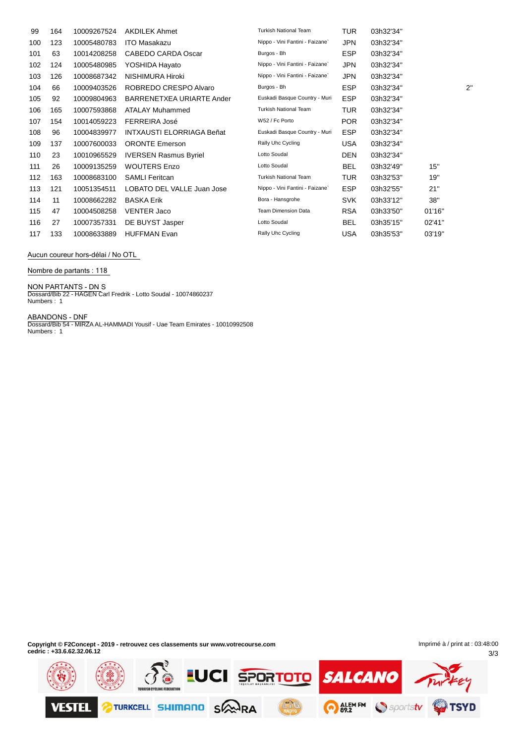| 99  | 164 | 10009267524 | <b>AKDILEK Ahmet</b>             | <b>Turkish National Team</b>    | <b>TUR</b> | 03h32'34" |        |              |
|-----|-----|-------------|----------------------------------|---------------------------------|------------|-----------|--------|--------------|
| 100 | 123 | 10005480783 | <b>ITO Masakazu</b>              | Nippo - Vini Fantini - Faizane` | <b>JPN</b> | 03h32'34" |        |              |
| 101 | 63  | 10014208258 | CABEDO CARDA Oscar               | Burgos - Bh                     | <b>ESP</b> | 03h32'34" |        |              |
| 102 | 124 | 10005480985 | YOSHIDA Hayato                   | Nippo - Vini Fantini - Faizane` | <b>JPN</b> | 03h32'34" |        |              |
| 103 | 126 | 10008687342 | NISHIMURA Hiroki                 | Nippo - Vini Fantini - Faizane` | <b>JPN</b> | 03h32'34" |        |              |
| 104 | 66  | 10009403526 | ROBREDO CRESPO Alvaro            | Burgos - Bh                     | <b>ESP</b> | 03h32'34" |        | $2^{\prime}$ |
| 105 | 92  | 10009804963 | BARRENETXEA URIARTE Ander        | Euskadi Basque Country - Muri   | <b>ESP</b> | 03h32'34" |        |              |
| 106 | 165 | 10007593868 | <b>ATALAY Muhammed</b>           | <b>Turkish National Team</b>    | <b>TUR</b> | 03h32'34" |        |              |
| 107 | 154 | 10014059223 | FERREIRA José                    | W52 / Fc Porto                  | <b>POR</b> | 03h32'34" |        |              |
| 108 | 96  | 10004839977 | <b>INTXAUSTI ELORRIAGA Beñat</b> | Euskadi Basque Country - Muri   | <b>ESP</b> | 03h32'34" |        |              |
| 109 | 137 | 10007600033 | <b>ORONTE Emerson</b>            | Rally Uhc Cycling               | USA        | 03h32'34" |        |              |
| 110 | 23  | 10010965529 | <b>IVERSEN Rasmus Byriel</b>     | Lotto Soudal                    | DEN        | 03h32'34" |        |              |
| 111 | 26  | 10009135259 | <b>WOUTERS Enzo</b>              | Lotto Soudal                    | <b>BEL</b> | 03h32'49" | 15"    |              |
| 112 | 163 | 10008683100 | <b>SAMLI Feritcan</b>            | <b>Turkish National Team</b>    | <b>TUR</b> | 03h32'53" | 19"    |              |
| 113 | 121 | 10051354511 | LOBATO DEL VALLE Juan Jose       | Nippo - Vini Fantini - Faizane` | <b>ESP</b> | 03h32'55" | 21"    |              |
| 114 | 11  | 10008662282 | <b>BASKA Erik</b>                | Bora - Hansgrohe                | <b>SVK</b> | 03h33'12" | 38"    |              |
| 115 | 47  | 10004508258 | <b>VENTER Jaco</b>               | <b>Team Dimension Data</b>      | <b>RSA</b> | 03h33'50" | 01'16" |              |
| 116 | 27  | 10007357331 | DE BUYST Jasper                  | Lotto Soudal                    | BEL        | 03h35'15" | 02'41" |              |
| 117 | 133 | 10008633889 | <b>HUFFMAN Evan</b>              | Rally Uhc Cycling               | <b>USA</b> | 03h35'53" | 03'19" |              |

Aucun coureur hors-délai / No OTL

**Nombre de partants : 118**

**NON PARTANTS - DN** S Dossard/Bib 22 - HAGEN Carl Fredrik - Lotto Soudal - 10074860237 Numbers : 1

**ABANDONS - DNF** Dossard/Bib 54 - MIRZA AL-HAMMADI Yousif - Uae Team Emirates - 10010992508 Numbers : 1

**Copyright © F2Concept - 2019 - retrouvez ces classements sur www.votrecourse.com cedric : +33.6.62.32.06.12**

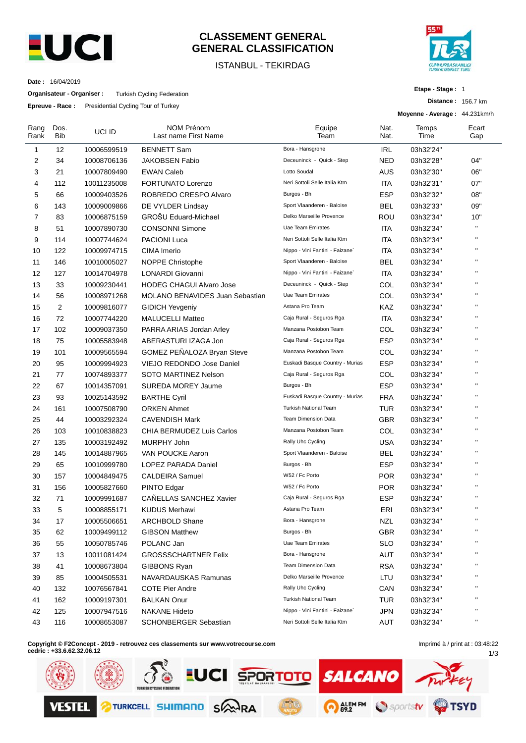

# **CLASSEMENT GENERAL GENERAL CLASSIFICATION**

## ISTANBUL - TEKIRDAG



**Etape - Stage :** 1

**Distance :** 156.7 km

**Date :** 16/04/2019

**Organisateur - Organiser :** Turkish Cycling Federation

**Epreuve - Race :** Presidential Cycling Tour of Turkey

|                |                    | Epieuve - Race. Fresidential Oyung Tour of Turkey |                                           |                                 |              | Moyenne - Average: 44.231km/h |              |
|----------------|--------------------|---------------------------------------------------|-------------------------------------------|---------------------------------|--------------|-------------------------------|--------------|
| Rang<br>Rank   | Dos.<br><b>Bib</b> | UCI ID                                            | <b>NOM Prénom</b><br>Last name First Name | Equipe<br>Team                  | Nat.<br>Nat. | Temps<br>Time                 | Ecart<br>Gap |
| 1              | 12                 | 10006599519                                       | <b>BENNETT Sam</b>                        | Bora - Hansgrohe                | <b>IRL</b>   | 03h32'24"                     |              |
| $\overline{2}$ | 34                 | 10008706136                                       | <b>JAKOBSEN Fabio</b>                     | Deceuninck - Quick - Step       | <b>NED</b>   | 03h32'28"                     | 04"          |
| 3              | 21                 | 10007809490                                       | <b>EWAN Caleb</b>                         | Lotto Soudal                    | AUS          | 03h32'30"                     | 06"          |
| 4              | 112                | 10011235008                                       | FORTUNATO Lorenzo                         | Neri Sottoli Selle Italia Ktm   | <b>ITA</b>   | 03h32'31"                     | 07"          |
| 5              | 66                 | 10009403526                                       | ROBREDO CRESPO Alvaro                     | Burgos - Bh                     | <b>ESP</b>   | 03h32'32"                     | 08"          |
| 6              | 143                | 10009009866                                       | DE VYLDER Lindsay                         | Sport Vlaanderen - Baloise      | <b>BEL</b>   | 03h32'33"                     | 09"          |
| 7              | 83                 | 10006875159                                       | GROŠU Eduard-Michael                      | Delko Marseille Provence        | ROU          | 03h32'34"                     | 10"          |
| 8              | 51                 | 10007890730                                       | <b>CONSONNI Simone</b>                    | <b>Uae Team Emirates</b>        | <b>ITA</b>   | 03h32'34"                     | $\mathbf{H}$ |
| 9              | 114                | 10007744624                                       | <b>PACIONI Luca</b>                       | Neri Sottoli Selle Italia Ktm   | <b>ITA</b>   | 03h32'34"                     | $\mathbf{H}$ |
| 10             | 122                | 10009974715                                       | CIMA Imerio                               | Nippo - Vini Fantini - Faizane` | <b>ITA</b>   | 03h32'34"                     | $\mathbf{H}$ |
| 11             | 146                | 10010005027                                       | <b>NOPPE Christophe</b>                   | Sport Vlaanderen - Baloise      | <b>BEL</b>   | 03h32'34"                     | $\mathbf{H}$ |
| 12             | 127                | 10014704978                                       | LONARDI Giovanni                          | Nippo - Vini Fantini - Faizane` | <b>ITA</b>   | 03h32'34"                     | $\mathbf{H}$ |
| 13             | 33                 | 10009230441                                       | <b>HODEG CHAGUI Alvaro Jose</b>           | Deceuninck - Quick - Step       | COL          | 03h32'34"                     | $\mathbf{H}$ |
| 14             | 56                 | 10008971268                                       | <b>MOLANO BENAVIDES Juan Sebastian</b>    | <b>Uae Team Emirates</b>        | COL          | 03h32'34"                     | $\mathbf{H}$ |
| 15             | 2                  | 10009816077                                       | <b>GIDICH Yevgeniy</b>                    | Astana Pro Team                 | KAZ          | 03h32'34"                     | $\mathbf{H}$ |
| 16             | 72                 | 10007744220                                       | <b>MALUCELLI Matteo</b>                   | Caja Rural - Seguros Rga        | ITA          | 03h32'34"                     | $\mathbf{H}$ |
| 17             | 102                | 10009037350                                       | PARRA ARIAS Jordan Arley                  | Manzana Postobon Team           | COL          | 03h32'34"                     | $\mathbf{H}$ |
| 18             | 75                 | 10005583948                                       | ABERASTURI IZAGA Jon                      | Caja Rural - Seguros Rga        | <b>ESP</b>   | 03h32'34"                     | $\mathbf{H}$ |
| 19             | 101                | 10009565594                                       | GOMEZ PEÑALOZA Bryan Steve                | Manzana Postobon Team           | COL          | 03h32'34"                     | $\mathbf{H}$ |
| 20             | 95                 | 10009994923                                       | VIEJO REDONDO Jose Daniel                 | Euskadi Basque Country - Murias | <b>ESP</b>   | 03h32'34"                     | $\mathbf{H}$ |
| 21             | 77                 | 10074893377                                       | SOTO MARTINEZ Nelson                      | Caja Rural - Seguros Rga        | COL          | 03h32'34"                     | $\mathbf{H}$ |
| 22             | 67                 | 10014357091                                       | <b>SUREDA MOREY Jaume</b>                 | Burgos - Bh                     | <b>ESP</b>   | 03h32'34"                     | $\mathbf{H}$ |
| 23             | 93                 | 10025143592                                       | <b>BARTHE Cyril</b>                       | Euskadi Basque Country - Murias | <b>FRA</b>   | 03h32'34"                     | $\mathbf{H}$ |
| 24             | 161                | 10007508790                                       | <b>ORKEN Ahmet</b>                        | <b>Turkish National Team</b>    | <b>TUR</b>   | 03h32'34"                     | $\mathbf{H}$ |
| 25             | 44                 | 10003292324                                       | <b>CAVENDISH Mark</b>                     | <b>Team Dimension Data</b>      | GBR          | 03h32'34"                     | $\mathbf{H}$ |
| 26             | 103                | 10010838823                                       | CHIA BERMUDEZ Luis Carlos                 | Manzana Postobon Team           | COL          | 03h32'34"                     | $\mathbf{H}$ |
| 27             | 135                | 10003192492                                       | MURPHY John                               | Rally Uhc Cycling               | <b>USA</b>   | 03h32'34"                     | $\mathbf{H}$ |
| 28             | 145                | 10014887965                                       | VAN POUCKE Aaron                          | Sport Vlaanderen - Baloise      | <b>BEL</b>   | 03h32'34"                     | $\mathbf{H}$ |
| 29             | 65                 | 10010999780                                       | <b>LOPEZ PARADA Daniel</b>                | Burgos - Bh                     | <b>ESP</b>   | 03h32'34"                     | $\mathbf{H}$ |
| 30             | 157                | 10004849475                                       | <b>CALDEIRA Samuel</b>                    | W52 / Fc Porto                  | <b>POR</b>   | 03h32'34"                     | $\mathbf{H}$ |
| 31             | 156                | 10005827660                                       | PINTO Edgar                               | W52 / Fc Porto                  | <b>POR</b>   | 03h32'34"                     | $\mathbf{H}$ |
| 32             | 71                 | 10009991687                                       | CAÑELLAS SANCHEZ Xavier                   | Caja Rural - Seguros Rga        | <b>ESP</b>   | 03h32'34"                     | $\mathbf{H}$ |
| 33             | 5                  | 10008855171                                       | <b>KUDUS Merhawi</b>                      | Astana Pro Team                 | ERI          | 03h32'34"                     | $\mathbf{H}$ |
| 34             | 17                 | 10005506651                                       | ARCHBOLD Shane                            | Bora - Hansgrohe                | <b>NZL</b>   | 03h32'34"                     | $\mathbf{H}$ |
| 35             | 62                 | 10009499112                                       | <b>GIBSON Matthew</b>                     | Burgos - Bh                     | <b>GBR</b>   | 03h32'34"                     | н.           |
| 36             | 55                 | 10050785746                                       | POLANC Jan                                | Uae Team Emirates               | <b>SLO</b>   | 03h32'34"                     | $\mathbf{H}$ |
| 37             | 13                 | 10011081424                                       | <b>GROSSSCHARTNER Felix</b>               | Bora - Hansgrohe                | AUT          | 03h32'34"                     | $\mathbf{H}$ |
| 38             | 41                 | 10008673804                                       | GIBBONS Ryan                              | <b>Team Dimension Data</b>      | <b>RSA</b>   | 03h32'34"                     | $\mathbf{H}$ |
| 39             | 85                 | 10004505531                                       | NAVARDAUSKAS Ramunas                      | Delko Marseille Provence        | LTU          | 03h32'34"                     | $\mathbf{H}$ |
| 40             | 132                | 10076567841                                       | <b>COTE Pier Andre</b>                    | Rally Uhc Cycling               | CAN          | 03h32'34"                     | $\mathbf{H}$ |
| 41             | 162                | 10009197301                                       | <b>BALKAN Onur</b>                        | <b>Turkish National Team</b>    | <b>TUR</b>   | 03h32'34"                     | $\mathbf{H}$ |
| 42             | 125                | 10007947516                                       | <b>NAKANE Hideto</b>                      | Nippo - Vini Fantini - Faizane` | <b>JPN</b>   | 03h32'34"                     | $\mathbf{H}$ |
| 43             | 116                | 10008653087                                       | <b>SCHONBERGER Sebastian</b>              | Neri Sottoli Selle Italia Ktm   | AUT          | 03h32'34"                     | $\mathbf{H}$ |
|                |                    |                                                   |                                           |                                 |              |                               |              |

**Copyright © F2Concept - 2019 - retrouvez ces classements sur www.votrecourse.com**

**cedric : +33.6.62.32.06.12**

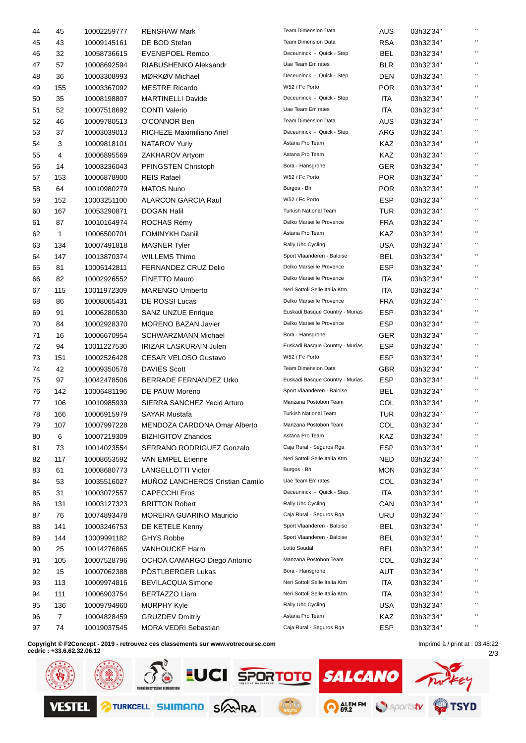| 44       | 45             | 10002259777                | <b>RENSHAW Mark</b>                                   | <b>Team Dimension Data</b>      | <b>AUS</b>               | 03h32'34"              |              |
|----------|----------------|----------------------------|-------------------------------------------------------|---------------------------------|--------------------------|------------------------|--------------|
| 45       | 43             | 10009145161                | DE BOD Stefan                                         | <b>Team Dimension Data</b>      | <b>RSA</b>               | 03h32'34"              | $\mathbf{u}$ |
| 46       | 32             | 10058736615                | <b>EVENEPOEL Remco</b>                                | Deceuninck - Quick - Step       | <b>BEL</b>               | 03h32'34"              | $\mathbf{H}$ |
| 47       | 57             | 10008692594                | RIABUSHENKO Aleksandr                                 | Uae Team Emirates               | <b>BLR</b>               | 03h32'34"              | $\mathbf{H}$ |
| 48       | 36             | 10003308993                | MØRKØV Michael                                        | Deceuninck - Quick - Step       | <b>DEN</b>               | 03h32'34"              | $\mathbf{H}$ |
| 49       | 155            | 10003367092                | <b>MESTRE Ricardo</b>                                 | W52 / Fc Porto                  | <b>POR</b>               | 03h32'34"              | $\mathbf{H}$ |
| 50       | 35             | 10008198807                | <b>MARTINELLI Davide</b>                              | Deceuninck - Quick - Step       | ITA                      | 03h32'34"              | $\mathbf{H}$ |
| 51       | 52             | 10007518692                | <b>CONTI Valerio</b>                                  | Uae Team Emirates               | ITA                      | 03h32'34"              | $\mathbf{H}$ |
| 52       | 46             | 10009780513                | O'CONNOR Ben                                          | <b>Team Dimension Data</b>      | AUS                      | 03h32'34"              | $\mathbf{H}$ |
| 53       | 37             | 10003039013                | RICHEZE Maximiliano Ariel                             | Deceuninck - Quick - Step       | ARG                      | 03h32'34"              | $\mathbf{H}$ |
| 54       | 3              | 10009818101                | <b>NATAROV Yuriy</b>                                  | Astana Pro Team                 | KAZ                      | 03h32'34"              | $\mathbf{H}$ |
| 55       | 4              | 10006895569                | ZAKHAROV Artyom                                       | Astana Pro Team                 | KAZ                      | 03h32'34"              | $\mathbf{H}$ |
| 56       | 14             | 10003236043                | PFINGSTEN Christoph                                   | Bora - Hansgrohe                | GER                      | 03h32'34"              | $\mathbf{H}$ |
| 57       | 153            | 10006878900                | <b>REIS Rafael</b>                                    | W52 / Fc Porto                  | <b>POR</b>               | 03h32'34"              | $\mathbf{H}$ |
| 58       | 64             | 10010980279                | <b>MATOS Nuno</b>                                     | Burgos - Bh                     | POR                      | 03h32'34"              | $\mathbf{H}$ |
| 59       | 152            | 10003251100                | <b>ALARCON GARCIA Raul</b>                            | W52 / Fc Porto                  | <b>ESP</b>               | 03h32'34"              | $\mathbf{H}$ |
| 60       | 167            | 10053290871                | <b>DOGAN Halil</b>                                    | Turkish National Team           | TUR                      | 03h32'34"              | $\mathbf{H}$ |
| 61       | 87             | 10010164974                | ROCHAS Rémy                                           | Delko Marseille Provence        | <b>FRA</b>               | 03h32'34"              | $\mathbf{u}$ |
| 62       | $\mathbf{1}$   | 10006500701                | <b>FOMINYKH Daniil</b>                                | Astana Pro Team                 | KAZ                      | 03h32'34"              | $\mathbf{H}$ |
| 63       | 134            | 10007491818                | <b>MAGNER Tyler</b>                                   | Rally Uhc Cycling               | <b>USA</b>               | 03h32'34"              | $\mathbf{H}$ |
| 64       | 147            | 10013870374                | <b>WILLEMS Thimo</b>                                  | Sport Vlaanderen - Baloise      | <b>BEL</b>               | 03h32'34"              | $\mathbf{H}$ |
| 65       | 81             | 10006142811                | <b>FERNANDEZ CRUZ Delio</b>                           | Delko Marseille Provence        | <b>ESP</b>               | 03h32'34"              | $\mathbf{H}$ |
| 66       | 82             | 10002926552                | <b>FINETTO Mauro</b>                                  | Delko Marseille Provence        | ITA                      | 03h32'34"              | $\mathbf{H}$ |
| 67       | 115            | 10011972309                | <b>MARENGO Umberto</b>                                | Neri Sottoli Selle Italia Ktm   | ITA                      | 03h32'34"              | $\mathbf{H}$ |
| 68       | 86             | 10008065431                | DE ROSSI Lucas                                        | Delko Marseille Provence        | <b>FRA</b>               | 03h32'34"              | $\mathbf{H}$ |
| 69       | 91             | 10006280530                | <b>SANZ UNZUE Enrique</b>                             | Euskadi Basque Country - Murias | <b>ESP</b>               | 03h32'34"              | $\mathbf{u}$ |
| 70       | 84             | 10002928370                | <b>MORENO BAZAN Javier</b>                            | Delko Marseille Provence        | <b>ESP</b>               | 03h32'34"              | $\mathbf{H}$ |
| 71       | 16             | 10006670954                | <b>SCHWARZMANN Michael</b>                            | Bora - Hansgrohe                | <b>GER</b>               | 03h32'34"              | $\mathbf{H}$ |
| 72       | 94             | 10011227530                | <b>IRIZAR LASKURAIN Julen</b>                         | Euskadi Basque Country - Murias | <b>ESP</b>               | 03h32'34"              | $\mathbf{H}$ |
| 73       | 151            | 10002526428                | <b>CESAR VELOSO Gustavo</b>                           | W52 / Fc Porto                  | <b>ESP</b>               | 03h32'34"              | $\mathbf{H}$ |
| 74       | 42             | 10009350578                | <b>DAVIES Scott</b>                                   | <b>Team Dimension Data</b>      | <b>GBR</b>               | 03h32'34"              | $\mathbf{H}$ |
| 75       | 97             | 10042478506                | <b>BERRADE FERNANDEZ Urko</b>                         | Euskadi Basque Country - Murias | <b>ESP</b>               | 03h32'34"              | $\mathbf{H}$ |
| 76       | 142            | 10006481196                | DE PAUW Moreno                                        | Sport Vlaanderen - Baloise      | BEL                      | 03h32'34"              | $\mathbf{H}$ |
| 77       | 106            | 10010985939                | SIERRA SANCHEZ Yecid Arturo                           | Manzana Postobon Team           | <b>COL</b>               | 03h32'34"              | $\mathbf{H}$ |
| 78       | 166            | 10006915979                | <b>SAYAR Mustafa</b>                                  | Turkish National Team           | TUR                      | 03h32'34"              | $\mathbf{H}$ |
| 79       | 107            | 10007997228                | MENDOZA CARDONA Omar Alberto                          | Manzana Postobon Team           | COL                      | 03h32'34"              |              |
| 80       | 6              | 10007219309                | <b>BIZHIGITOV Zhandos</b>                             | Astana Pro Team                 | KAZ                      | 03h32'34"              | $\mathbf{H}$ |
|          |                |                            |                                                       | Caja Rural - Seguros Rga        | <b>ESP</b>               |                        | $\mathbf{H}$ |
| 81       | 73             | 10014023554                | SERRANO RODRIGUEZ Gonzalo<br><b>VAN EMPEL Etienne</b> | Neri Sottoli Selle Italia Ktm   |                          | 03h32'34"              | $\mathbf{H}$ |
| 82<br>83 | 117<br>61      | 10008653592<br>10008680773 | <b>LANGELLOTTI Victor</b>                             | Burgos - Bh                     | <b>NED</b><br><b>MON</b> | 03h32'34"<br>03h32'34" | $\mathbf{H}$ |
|          | 53             |                            | MUÑOZ LANCHEROS Cristian Camilo                       | Uae Team Emirates               | COL                      | 03h32'34"              | $\mathbf{H}$ |
| 84       |                | 10035516027                |                                                       | Deceuninck - Quick - Step       |                          |                        | $\mathbf{H}$ |
| 85       | 31             | 10003072557                | <b>CAPECCHI Eros</b>                                  | Rally Uhc Cycling               | ITA                      | 03h32'34"              | $\mathbf{H}$ |
| 86       | 131            | 10003127323                | <b>BRITTON Robert</b>                                 | Caja Rural - Seguros Rga        | CAN                      | 03h32'34"              | $\mathbf{H}$ |
| 87       | 76             | 10074893478                | <b>MOREIRA GUARINO Mauricio</b>                       | Sport Vlaanderen - Baloise      | <b>URU</b>               | 03h32'34"              | $\mathbf{H}$ |
| 88       | 141            | 10003246753                | DE KETELE Kenny                                       | Sport Vlaanderen - Baloise      | <b>BEL</b>               | 03h32'34"              | $\mathbf{H}$ |
| 89       | 144            | 10009991182                | <b>GHYS Robbe</b>                                     |                                 | <b>BEL</b>               | 03h32'34"              | $\mathbf{H}$ |
| 90       | 25             | 10014276865                | VANHOUCKE Harm                                        | Lotto Soudal                    | <b>BEL</b>               | 03h32'34"              | $\mathbf{H}$ |
| 91       | 105            | 10007528796                | OCHOA CAMARGO Diego Antonio                           | Manzana Postobon Team           | <b>COL</b>               | 03h32'34"              | $\mathbf{H}$ |
| 92       | 15             | 10007062388                | PÖSTLBERGER Lukas                                     | Bora - Hansgrohe                | AUT                      | 03h32'34"              | $\mathbf{H}$ |
| 93       | 113            | 10009974816                | <b>BEVILACQUA Simone</b>                              | Neri Sottoli Selle Italia Ktm   | ITA                      | 03h32'34"              | $\mathbf{H}$ |
| 94       | 111            | 10006903754                | BERTAZZO Liam                                         | Neri Sottoli Selle Italia Ktm   | ITA                      | 03h32'34"              | $\mathbf{H}$ |
| 95       | 136            | 10009794960                | <b>MURPHY Kyle</b>                                    | Rally Uhc Cycling               | <b>USA</b>               | 03h32'34"              | $\mathbf{H}$ |
| 96       | $\overline{7}$ | 10004828459                | <b>GRUZDEV Dmitriy</b>                                | Astana Pro Team                 | KAZ                      | 03h32'34"              | $\mathbf{H}$ |
| 97       | 74             | 10019037545                | MORA VEDRI Sebastian                                  | Caja Rural - Seguros Rga        | <b>ESP</b>               | 03h32'34"              |              |

**Copyright © F2Concept - 2019 - retrouvez ces classements sur www.votrecourse.com**

**cedric : +33.6.62.32.06.12**

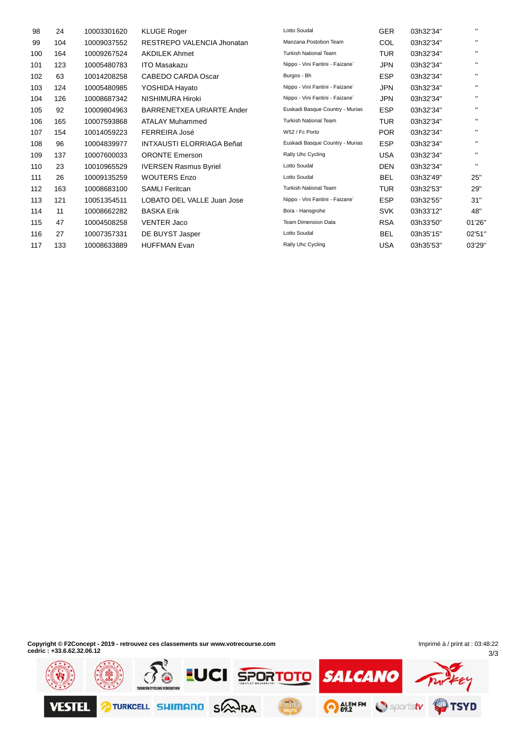| 98  | 24  | 10003301620 | <b>KLUGE Roger</b>               | Lotto Soudal                    | <b>GER</b> | 03h32'34" | п.           |
|-----|-----|-------------|----------------------------------|---------------------------------|------------|-----------|--------------|
| 99  | 104 | 10009037552 | RESTREPO VALENCIA Jhonatan       | Manzana Postobon Team           | COL        | 03h32'34" | $\mathbf{H}$ |
| 100 | 164 | 10009267524 | <b>AKDILEK Ahmet</b>             | <b>Turkish National Team</b>    | TUR        | 03h32'34" | п.           |
| 101 | 123 | 10005480783 | <b>ITO Masakazu</b>              | Nippo - Vini Fantini - Faizane` | JPN        | 03h32'34" | $\mathbf{H}$ |
| 102 | 63  | 10014208258 | <b>CABEDO CARDA Oscar</b>        | Burgos - Bh                     | <b>ESP</b> | 03h32'34" | п.           |
| 103 | 124 | 10005480985 | YOSHIDA Hayato                   | Nippo - Vini Fantini - Faizane` | <b>JPN</b> | 03h32'34" | $\mathbf{H}$ |
| 104 | 126 | 10008687342 | NISHIMURA Hiroki                 | Nippo - Vini Fantini - Faizane` | JPN        | 03h32'34" | $\mathbf{H}$ |
| 105 | 92  | 10009804963 | BARRENETXEA URIARTE Ander        | Euskadi Basque Country - Murias | <b>ESP</b> | 03h32'34" | $\mathbf{H}$ |
| 106 | 165 | 10007593868 | <b>ATALAY Muhammed</b>           | <b>Turkish National Team</b>    | TUR        | 03h32'34" | п.           |
| 107 | 154 | 10014059223 | FERREIRA José                    | W52 / Fc Porto                  | POR        | 03h32'34" | $\mathbf{H}$ |
| 108 | 96  | 10004839977 | <b>INTXAUSTI ELORRIAGA Beñat</b> | Euskadi Basque Country - Murias | <b>ESP</b> | 03h32'34" | п.           |
| 109 | 137 | 10007600033 | <b>ORONTE Emerson</b>            | Rally Uhc Cycling               | <b>USA</b> | 03h32'34" | п.           |
| 110 | 23  | 10010965529 | <b>IVERSEN Rasmus Byriel</b>     | Lotto Soudal                    | DEN        | 03h32'34" | п.           |
| 111 | 26  | 10009135259 | <b>WOUTERS Enzo</b>              | Lotto Soudal                    | <b>BEL</b> | 03h32'49" | 25"          |
| 112 | 163 | 10008683100 | <b>SAMLI Feritcan</b>            | <b>Turkish National Team</b>    | TUR        | 03h32'53" | 29"          |
| 113 | 121 | 10051354511 | LOBATO DEL VALLE Juan Jose       | Nippo - Vini Fantini - Faizane` | <b>ESP</b> | 03h32'55" | 31"          |
| 114 | 11  | 10008662282 | <b>BASKA Erik</b>                | Bora - Hansgrohe                | <b>SVK</b> | 03h33'12" | 48"          |
| 115 | 47  | 10004508258 | <b>VENTER Jaco</b>               | <b>Team Dimension Data</b>      | <b>RSA</b> | 03h33'50" | 01'26"       |
| 116 | 27  | 10007357331 | DE BUYST Jasper                  | Lotto Soudal                    | <b>BEL</b> | 03h35'15" | 02'51"       |
| 117 | 133 | 10008633889 | <b>HUFFMAN Evan</b>              | Rally Uhc Cycling               | <b>USA</b> | 03h35'53" | 03'29"       |

**Copyright © F2Concept - 2019 - retrouvez ces classements sur www.votrecourse.com cedric : +33.6.62.32.06.12**

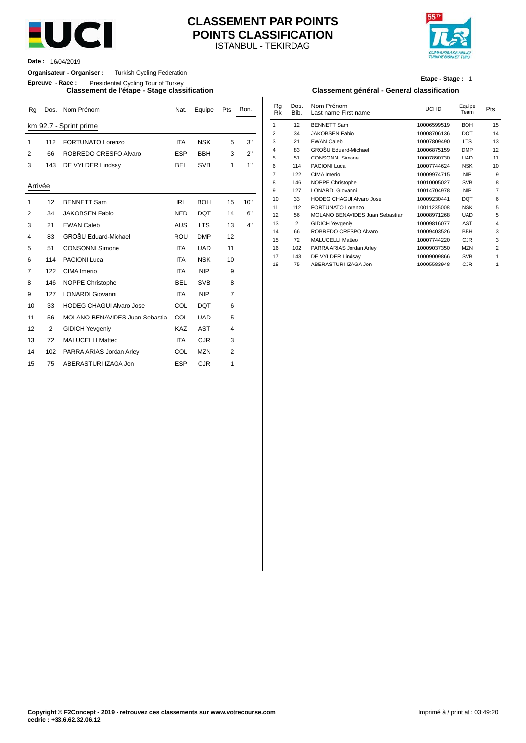

# ISTANBUL - TEKIRDAG **CLASSEMENT PAR POINTS POINTS CLASSIFICATION**



**Date :** 16/04/2019

#### **Organisateur - Organiser :** Turkish Cycling Federation

**Epreuve - Race :** Presidential Cycling Tour of Turkey

| Rq      | Dos. | Nom Prénom                            | Nat.       | Equipe     | Pts            | Bon. | Rg<br><b>Rk</b> | Dos.<br>Bib. | Nom Prénom<br>Last name First name        | UCI ID                     | Equipe<br>Team           | Pts            |
|---------|------|---------------------------------------|------------|------------|----------------|------|-----------------|--------------|-------------------------------------------|----------------------------|--------------------------|----------------|
|         |      | km 92.7 - Sprint prime                |            |            |                |      | $\mathbf{1}$    | 12           | <b>BENNETT Sam</b>                        | 10006599519                | <b>BOH</b>               | 15             |
|         |      |                                       |            |            |                |      | $\overline{2}$  | 34           | <b>JAKOBSEN Fabio</b>                     | 10008706136                | <b>DQT</b>               | 14             |
| 1       | 112  | <b>FORTUNATO Lorenzo</b>              | <b>ITA</b> | <b>NSK</b> | 5              | 3"   | 3               | 21           | <b>EWAN Caleb</b>                         | 10007809490                | <b>LTS</b>               | 13             |
| 2       | 66   | ROBREDO CRESPO Alvaro                 | <b>ESP</b> | <b>BBH</b> | 3              | 2"   | 4               | 83           | GROŠU Eduard-Michael                      | 10006875159                | <b>DMP</b>               | 12             |
|         |      |                                       |            |            |                |      | 5               | 51           | <b>CONSONNI Simone</b>                    | 10007890730                | <b>UAD</b>               | 11             |
| 3       | 143  | DE VYLDER Lindsay                     | <b>BEL</b> | <b>SVB</b> | $\mathbf{1}$   | 1"   | 6               | 114          | PACIONI Luca                              | 10007744624                | <b>NSK</b>               | 1 <sub>0</sub> |
|         |      |                                       |            |            |                |      | $\overline{7}$  | 122          | CIMA Imerio                               | 10009974715                | <b>NIP</b>               | ç              |
| Arrivée |      |                                       |            |            |                |      | 8               | 146          | NOPPE Christophe                          | 10010005027                | <b>SVB</b>               |                |
|         |      |                                       |            |            |                |      | 9               | 127          | <b>LONARDI Giovanni</b>                   | 10014704978                | <b>NIP</b>               |                |
| 1       | 12   | <b>BENNETT Sam</b>                    | <b>IRL</b> | <b>BOH</b> | 15             | 10"  | 10              | 33           | <b>HODEG CHAGUI Alvaro Jose</b>           | 10009230441                | <b>DQT</b>               |                |
| 2       | 34   | <b>JAKOBSEN Fabio</b>                 | <b>NED</b> | <b>DQT</b> | 14             | 6"   | 11              | 112          | <b>FORTUNATO Lorenzo</b>                  | 10011235008                | <b>NSK</b>               |                |
|         |      |                                       |            |            |                |      | 12              | 56           | MOLANO BENAVIDES Juan Sebastian           | 10008971268                | <b>UAD</b>               |                |
| 3       | 21   | <b>EWAN Caleb</b>                     | <b>AUS</b> | <b>LTS</b> | 13             | 4"   | 13              | 2            | <b>GIDICH Yevgeniy</b>                    | 10009816077                | <b>AST</b>               |                |
| 4       | 83   | GROŠU Eduard-Michael                  | <b>ROU</b> | <b>DMP</b> | 12             |      | 14              | 66           | ROBREDO CRESPO Alvaro                     | 10009403526                | <b>BBH</b>               |                |
|         |      |                                       |            |            |                |      | 15              | 72           | <b>MALUCELLI Matteo</b>                   | 10007744220                | <b>CJR</b>               |                |
| 5       | 51   | <b>CONSONNI Simone</b>                | <b>ITA</b> | <b>UAD</b> | 11             |      | 16              | 102          | PARRA ARIAS Jordan Arley                  | 10009037350                | <b>MZN</b>               |                |
| 6       | 114  | <b>PACIONI Luca</b>                   | <b>ITA</b> | <b>NSK</b> | 10             |      | 17<br>18        | 143<br>75    | DE VYLDER Lindsay<br>ABERASTURI IZAGA Jon | 10009009866<br>10005583948 | <b>SVB</b><br><b>CJR</b> |                |
| 7       | 122  | CIMA Imerio                           | <b>ITA</b> | <b>NIP</b> | 9              |      |                 |              |                                           |                            |                          |                |
| 8       | 146  | NOPPE Christophe                      | <b>BEL</b> | <b>SVB</b> | 8              |      |                 |              |                                           |                            |                          |                |
| 9       | 127  | <b>LONARDI Giovanni</b>               | <b>ITA</b> | <b>NIP</b> | $\overline{7}$ |      |                 |              |                                           |                            |                          |                |
| 10      | 33   | <b>HODEG CHAGUI Alvaro Jose</b>       | COL        | <b>DQT</b> | 6              |      |                 |              |                                           |                            |                          |                |
| 11      | 56   | <b>MOLANO BENAVIDES Juan Sebastia</b> | COL        | <b>UAD</b> | 5              |      |                 |              |                                           |                            |                          |                |
| 12      | 2    | <b>GIDICH Yevgeniy</b>                | <b>KAZ</b> | <b>AST</b> | 4              |      |                 |              |                                           |                            |                          |                |
| 13      | 72   | <b>MALUCELLI Matteo</b>               | <b>ITA</b> | <b>CJR</b> | 3              |      |                 |              |                                           |                            |                          |                |
| 14      | 102  | PARRA ARIAS Jordan Arley              | COL        | <b>MZN</b> | 2              |      |                 |              |                                           |                            |                          |                |
| 15      | 75   | ABERASTURI IZAGA Jon                  | <b>ESP</b> | <b>CJR</b> | 1              |      |                 |              |                                           |                            |                          |                |

#### **Etape - Stage :** 1

#### **Classement de l'étape - Stage classification Classement général - General classification**

| Nat.       | Equipe     | Pts | Bon. | Rq<br>Rk       | Dos.<br>Bib. | Nom Prénom<br>Last name First name | UCI ID      | Equipe<br>Team | Pts            |
|------------|------------|-----|------|----------------|--------------|------------------------------------|-------------|----------------|----------------|
|            |            |     |      | 1              | 12           | <b>BENNETT Sam</b>                 | 10006599519 | <b>BOH</b>     | 15             |
|            |            |     |      | $\overline{2}$ | 34           | <b>JAKOBSEN Fabio</b>              | 10008706136 | <b>DQT</b>     | 14             |
| <b>ITA</b> | <b>NSK</b> | 5   | 3"   | 3              | 21           | <b>EWAN Caleb</b>                  | 10007809490 | <b>LTS</b>     | 13             |
|            |            |     | 2"   | 4              | 83           | GROŠU Eduard-Michael               | 10006875159 | <b>DMP</b>     | 12             |
| ESP        | <b>BBH</b> | 3   |      | 5              | 51           | <b>CONSONNI Simone</b>             | 10007890730 | <b>UAD</b>     | 11             |
| BEL        | <b>SVB</b> | 1   | 1"   | 6              | 114          | <b>PACIONI Luca</b>                | 10007744624 | <b>NSK</b>     | 10             |
|            |            |     |      | 7              | 122          | CIMA Imerio                        | 10009974715 | <b>NIP</b>     | 9              |
|            |            |     |      | 8              | 146          | NOPPE Christophe                   | 10010005027 | <b>SVB</b>     | 8              |
|            |            |     |      | 9              | 127          | <b>LONARDI Giovanni</b>            | 10014704978 | <b>NIP</b>     | $\overline{7}$ |
| <b>IRL</b> | <b>BOH</b> | 15  | 10"  | 10             | 33           | <b>HODEG CHAGUI Alvaro Jose</b>    | 10009230441 | <b>DQT</b>     | 6              |
|            |            |     |      | 11             | 112          | <b>FORTUNATO Lorenzo</b>           | 10011235008 | <b>NSK</b>     | 5              |
| NED        | <b>DQT</b> | 14  | 6"   | 12             | 56           | MOLANO BENAVIDES Juan Sebastian    | 10008971268 | <b>UAD</b>     | 5              |
| AUS        | <b>LTS</b> | 13  | 4"   | 13             | 2            | <b>GIDICH Yevgeniy</b>             | 10009816077 | <b>AST</b>     | $\overline{4}$ |
|            |            |     |      | 14             | 66           | ROBREDO CRESPO Alvaro              | 10009403526 | <b>BBH</b>     | 3              |
| νου        | <b>DMP</b> | 12  |      | 15             | 72           | <b>MALUCELLI Matteo</b>            | 10007744220 | <b>CJR</b>     | 3              |
| <b>ITA</b> | <b>UAD</b> | 11  |      | 16             | 102          | PARRA ARIAS Jordan Arley           | 10009037350 | <b>MZN</b>     | $\overline{2}$ |
| <b>ITA</b> | <b>NSK</b> |     |      | 17             | 143          | DE VYLDER Lindsay                  | 10009009866 | <b>SVB</b>     | 1              |
|            |            | 10  |      | 18             | 75           | ABERASTURI IZAGA Jon               | 10005583948 | <b>CJR</b>     | 1              |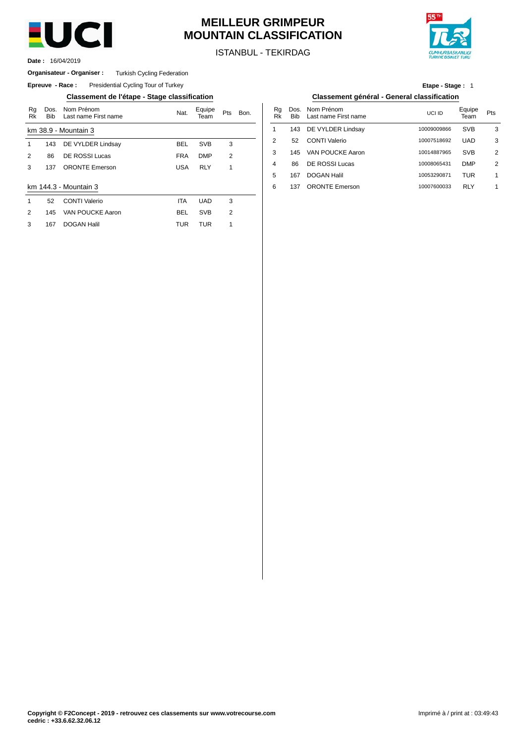

# **MEILLEUR GRIMPEUR MOUNTAIN CLASSIFICATION**



ISTANBUL - TEKIRDAG

16/04/2019 **Date :**

#### **Organisateur - Organiser :** Turkish Cycling Federation

**Epreuve - Race:** Presidential Cycling Tour of Turkey

**Classement de l'étape - Stage classification Classement général - General classification**

| Rg<br>Rk | Dos.<br><b>Bib</b> | Nom Prénom<br>Last name First name | Nat.       | Equipe<br>Team | Pts            | Bon. | Rg<br><b>Rk</b> | Dos<br><b>Bib</b> |
|----------|--------------------|------------------------------------|------------|----------------|----------------|------|-----------------|-------------------|
|          |                    | km 38.9 - Mountain 3               |            |                |                |      | 1               | 143               |
| 1        | 143                | DE VYLDER Lindsay                  | <b>BEL</b> | <b>SVB</b>     | 3              |      | 2               | 52                |
| 2        | 86                 | DE ROSSI Lucas                     | <b>FRA</b> | <b>DMP</b>     | 2              |      | 3               | 145               |
| 3        | 137                | <b>ORONTE Emerson</b>              | <b>USA</b> | <b>RLY</b>     | 1              |      | 4               | 86                |
|          |                    |                                    |            |                |                |      | 5               | 167               |
|          |                    | km 144.3 - Mountain 3              |            |                |                |      | 6               | 137               |
| 1        | 52                 | <b>CONTI Valerio</b>               | <b>ITA</b> | <b>UAD</b>     | 3              |      |                 |                   |
| 2        | 145                | VAN POUCKE Aaron                   | BEL        | <b>SVB</b>     | $\overline{2}$ |      |                 |                   |
| 3        | 167                | <b>DOGAN Halil</b>                 | <b>TUR</b> | <b>TUR</b>     | 1              |      |                 |                   |
|          |                    |                                    |            |                |                |      |                 |                   |

| Etape - Stage: 1                    |  |
|-------------------------------------|--|
| iant nánáral Danaral alagaification |  |

| Bon. | Ra<br>Rk | Bib | Dos. Nom Prénom<br>Last name First name | UCI ID      | Equipe<br>Team | Pts |
|------|----------|-----|-----------------------------------------|-------------|----------------|-----|
|      |          | 143 | DE VYLDER Lindsay                       | 10009009866 | <b>SVB</b>     | 3   |
|      | 2        | 52  | <b>CONTI Valerio</b>                    | 10007518692 | <b>UAD</b>     | 3   |
|      | 3        | 145 | VAN POUCKE Aaron                        | 10014887965 | <b>SVB</b>     | 2   |
|      | 4        | 86  | DE ROSSI Lucas                          | 10008065431 | <b>DMP</b>     | 2   |
|      | 5        | 167 | <b>DOGAN Halil</b>                      | 10053290871 | <b>TUR</b>     | 1   |
|      | 6        | 137 | <b>ORONTE Emerson</b>                   | 10007600033 | <b>RLY</b>     | 1   |
|      |          |     |                                         |             |                |     |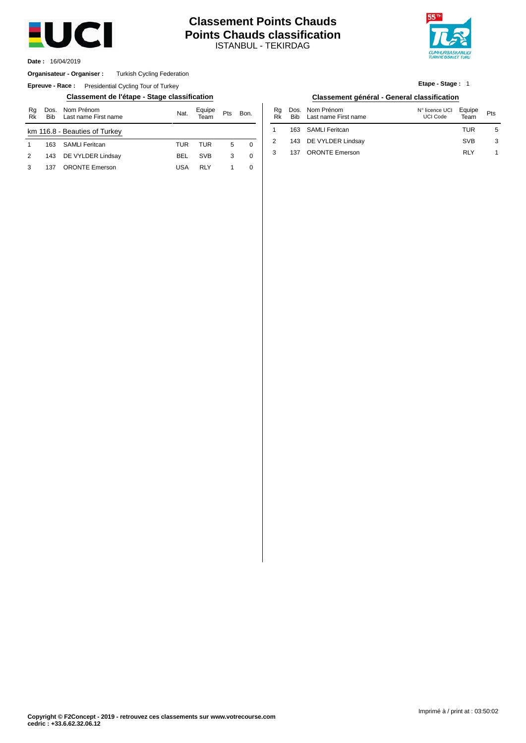

# ISTANBUL - TEKIRDAG **Classement Points Chauds Points Chauds classification**



16/04/2019 **Date :**

#### **Organisateur - Organiser :** Turkish Cycling Federation

**Epreuve - Race:** Presidential Cycling Tour of Turkey

#### **Classement de l'étape - Stage classification Classement général - General classification**

| Rg<br>Rk | <b>Bib</b> | Dos. Nom Prénom<br>Last name First name | Nat. | Equipe<br>Team | Pts | Bon. |
|----------|------------|-----------------------------------------|------|----------------|-----|------|
|          |            | km 116.8 - Beauties of Turkey           |      |                |     |      |
| 1        | 163        | SAMLI Feritcan                          | TUR  | TUR            | 5   | 0    |
| 2        |            | 143 DE VYLDER Lindsay                   | BEL  | <b>SVB</b>     | 3   | 0    |
| 3        | 137        | <b>ORONTE</b> Emerson                   | USA  | RI Y           |     | 0    |

# **Etape - Stage :** 1

| Bon.        | Ra<br>Rk | <b>Bib</b> | Dos. Nom Prénom<br>Last name First name | N° licence UCI<br><b>UCI Code</b> | Equipe<br>Team | Pts |
|-------------|----------|------------|-----------------------------------------|-----------------------------------|----------------|-----|
|             |          |            | 163 SAMLI Feritcan                      |                                   | TUR            | 5   |
| $\mathbf 0$ |          |            | 143 DE VYLDER Lindsay                   |                                   | <b>SVB</b>     |     |
| 0           | 3        |            | 137 ORONTE Emerson                      |                                   | RI Y           |     |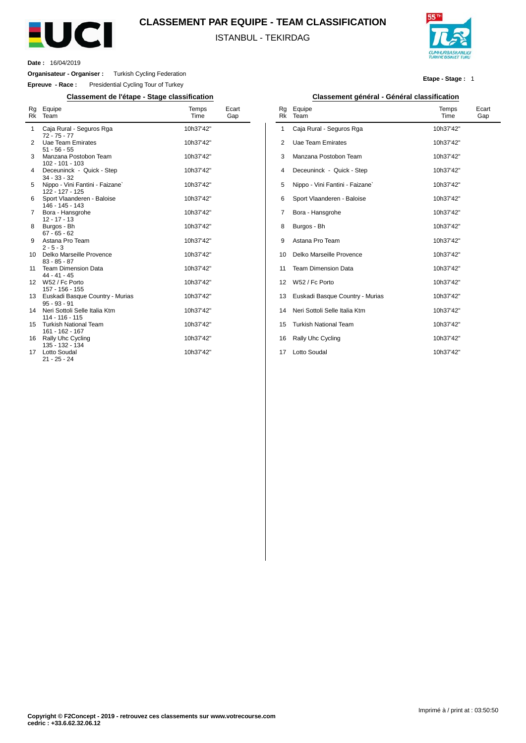

# **CLASSEMENT PAR EQUIPE - TEAM CLASSIFICATION**

ISTANBUL - TEKIRDAG



**Date :** 16/04/2019

 $\overline{a}$ 

**Organisateur - Organiser :** Turkish Cycling Federation

**Epreuve - Race :** Presidential Cycling Tour of Turkey

**Classement de l'étape - Stage classification Classement général - Général classification**

| Rg<br>Rk | Equipe<br>Team                                     | Temps<br>Time | Ecart<br>Gap |
|----------|----------------------------------------------------|---------------|--------------|
| 1        | Caja Rural - Seguros Rga<br>$72 - 75 - 77$         | 10h37'42"     |              |
| 2        | Uae Team Emirates<br>$51 - 56 - 55$                | 10h37'42"     |              |
| 3        | Manzana Postobon Team<br>102 - 101 - 103           | 10h37'42"     |              |
| 4        | Deceuninck - Quick - Step<br>$34 - 33 - 32$        | 10h37'42"     |              |
| 5        | Nippo - Vini Fantini - Faizane`<br>122 - 127 - 125 | 10h37'42"     |              |
| 6        | Sport Vlaanderen - Baloise<br>146 - 145 - 143      | 10h37'42"     |              |
| 7        | Bora - Hansgrohe<br>$12 - 17 - 13$                 | 10h37'42"     |              |
| 8        | Burgos - Bh<br>$67 - 65 - 62$                      | 10h37'42"     |              |
| 9        | Astana Pro Team<br>$2 - 5 - 3$                     | 10h37'42"     |              |
| 10       | Delko Marseille Provence<br>$83 - 85 - 87$         | 10h37'42"     |              |
| 11       | <b>Team Dimension Data</b><br>$44 - 41 - 45$       | 10h37'42"     |              |
| 12       | W52 / Fc Porto<br>157 - 156 - 155                  | 10h37'42"     |              |
| 13       | Euskadi Basque Country - Murias<br>$95 - 93 - 91$  | 10h37'42"     |              |
| 14       | Neri Sottoli Selle Italia Ktm<br>114 - 116 - 115   | 10h37'42"     |              |
| 15       | <b>Turkish National Team</b><br>161 - 162 - 167    | 10h37'42"     |              |
| 16       | <b>Rally Uhc Cycling</b><br>135 - 132 - 134        | 10h37'42"     |              |
| 17       | Lotto Soudal<br>$21 - 25 - 24$                     | 10h37'42"     |              |

**Etape - Stage :** 1

| Classement general - General classification |                                 |               |              |  |  |  |
|---------------------------------------------|---------------------------------|---------------|--------------|--|--|--|
| Rg<br><b>Rk</b>                             | Equipe<br>Team                  | Temps<br>Time | Ecart<br>Gap |  |  |  |
| 1                                           | Caja Rural - Seguros Rga        | 10h37'42"     |              |  |  |  |
| 2                                           | Uae Team Emirates               | 10h37'42"     |              |  |  |  |
| 3                                           | Manzana Postobon Team           | 10h37'42"     |              |  |  |  |
| 4                                           | Deceuninck - Quick - Step       | 10h37'42"     |              |  |  |  |
| 5                                           | Nippo - Vini Fantini - Faizane` | 10h37'42"     |              |  |  |  |
| 6                                           | Sport Vlaanderen - Baloise      | 10h37'42"     |              |  |  |  |
| 7                                           | Bora - Hansgrohe                | 10h37'42"     |              |  |  |  |
| 8                                           | Burgos - Bh                     | 10h37'42"     |              |  |  |  |
| 9                                           | Astana Pro Team                 | 10h37'42"     |              |  |  |  |
| 10                                          | Delko Marseille Provence        | 10h37'42"     |              |  |  |  |
| 11                                          | <b>Team Dimension Data</b>      | 10h37'42"     |              |  |  |  |
| 12 <sup>2</sup>                             | W52 / Fc Porto                  | 10h37'42"     |              |  |  |  |
| 13                                          | Euskadi Basque Country - Murias | 10h37'42"     |              |  |  |  |
| 14                                          | Neri Sottoli Selle Italia Ktm   | 10h37'42"     |              |  |  |  |
| 15                                          | <b>Turkish National Team</b>    | 10h37'42"     |              |  |  |  |
| 16                                          | Rally Uhc Cycling               | 10h37'42"     |              |  |  |  |
| 17                                          | Lotto Soudal                    | 10h37'42"     |              |  |  |  |
|                                             |                                 |               |              |  |  |  |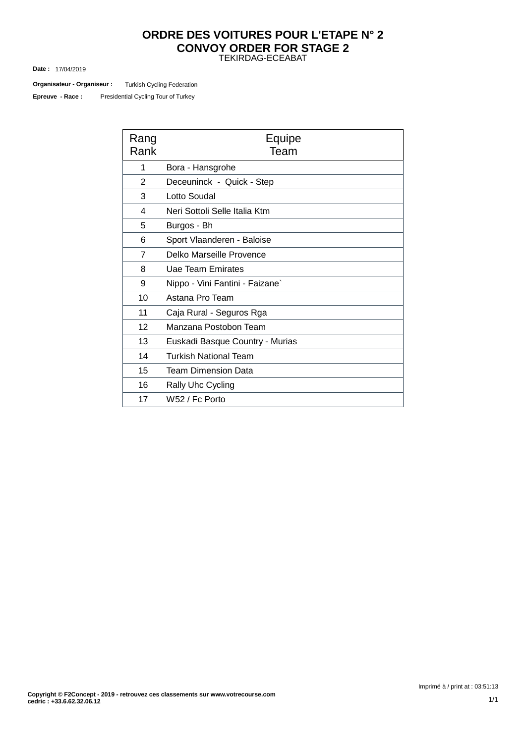# TEKIRDAG-ECEABAT **ORDRE DES VOITURES POUR L'ETAPE N° 2 CONVOY ORDER FOR STAGE 2**

17/04/2019 **Date :**

Turkish Cycling Federation **Organisateur - Organiseur :**

Presidential Cycling Tour of Turkey **Epreuve - Race :**

| Rang<br>Rank   | Equipe<br>Team                  |  |  |  |
|----------------|---------------------------------|--|--|--|
| 1              | Bora - Hansgrohe                |  |  |  |
| $\overline{2}$ | Deceuninck - Quick - Step       |  |  |  |
| 3              | Lotto Soudal                    |  |  |  |
| 4              | Neri Sottoli Selle Italia Ktm   |  |  |  |
| 5              | Burgos - Bh                     |  |  |  |
| 6              | Sport Vlaanderen - Baloise      |  |  |  |
| 7              | Delko Marseille Provence        |  |  |  |
| 8              | Uae Team Emirates               |  |  |  |
| 9              | Nippo - Vini Fantini - Faizane` |  |  |  |
| 10             | Astana Pro Team                 |  |  |  |
| 11             | Caja Rural - Seguros Rga        |  |  |  |
| 12             | Manzana Postobon Team           |  |  |  |
| 13             | Euskadi Basque Country - Murias |  |  |  |
| 14             | <b>Turkish National Team</b>    |  |  |  |
| 15             | <b>Team Dimension Data</b>      |  |  |  |
| 16             | Rally Uhc Cycling               |  |  |  |
| 17             | W52 / Fc Porto                  |  |  |  |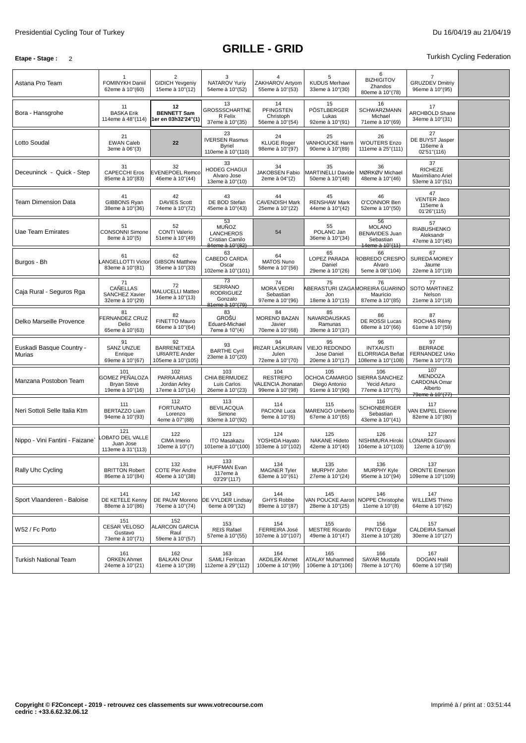## **Etape -** Stage : 2 **Turkish Cycling Federation**

| Astana Pro Team                    | FOMINYKH Daniil<br>62eme à 10"(60)                                    | $\overline{2}$<br><b>GIDICH Yevgeniy</b><br>15eme à 10"(12)           | 3<br>NATAROV Yuriy<br>54eme à 10"(52)                                        | ZAKHAROV Artyom<br>55eme à 10"(53)                             | 5<br><b>KUDUS Merhawi</b><br>33eme à 10"(30)                    | 6<br><b>BIZHIGITOV</b><br>Zhandos<br>80eme à 10"(78)                         | 7<br><b>GRUZDEV Dmitriy</b><br>96eme à 10"(95)                      |  |
|------------------------------------|-----------------------------------------------------------------------|-----------------------------------------------------------------------|------------------------------------------------------------------------------|----------------------------------------------------------------|-----------------------------------------------------------------|------------------------------------------------------------------------------|---------------------------------------------------------------------|--|
| Bora - Hansgrohe                   | 11<br><b>BASKA Erik</b><br>114eme à 48"(114)                          | 12<br><b>BENNETT Sam</b><br>1er en 03h32'24"(1)                       | 13<br>GROSSSCHARTNE<br>R Felix<br>37eme à 10"(35)                            | 14<br><b>PFINGSTEN</b><br>Christoph<br>56eme à 10"(54)         | 15<br>PÖSTLBERGER<br>Lukas<br>92eme à 10"(91)                   | 16<br>SCHWARZMANN<br>Michael<br>71eme à 10"(69)                              | 17<br>ARCHBOLD Shane<br>34eme à 10"(31)                             |  |
| Lotto Soudal                       | 21<br><b>EWAN Caleb</b><br>3eme à 06"(3)                              | 22                                                                    | 23<br><b>IVERSEN Rasmus</b><br><b>Byriel</b><br>110eme à 10"(110)            | 24<br><b>KLUGE Roger</b><br>98eme à 10"(97)                    | 25<br><b>VANHOUCKE Harm</b><br>90eme à 10"(89)                  | 26<br><b>WOUTERS Enzo</b><br>111eme à 25"(111)                               | 27<br>DE BUYST Jasper<br>116eme à<br>02'51"(116)                    |  |
| Deceuninck - Quick - Step          | 31<br><b>CAPECCHI Eros</b><br>85eme à 10"(83)                         | 32<br><b>EVENEPOEL Remco</b><br>46eme à 10"(44)                       | 33<br><b>HODEG CHAGUI</b><br>Alvaro Jose<br>13eme à 10"(10)                  | 34<br>JAKOBSEN Fabio<br>2eme à 04"(2)                          | 35<br><b>MARTINELLI Davide</b><br>50eme à 10"(48)               | 36<br>MØRKØV Michael<br>48eme à 10"(46)                                      | 37<br><b>RICHEZE</b><br>Maximiliano Ariel<br>53eme à 10"(51)        |  |
| Team Dimension Data                | 41<br><b>GIBBONS Ryan</b><br>38eme à 10"(36)                          | 42<br><b>DAVIES Scott</b><br>74eme à 10"(72)                          | 43<br>DE BOD Stefan<br>45eme à 10"(43)                                       | 44<br><b>CAVENDISH Mark</b><br>25eme à 10"(22)                 | 45<br><b>RENSHAW Mark</b><br>44eme à 10"(42)                    | 46<br>O'CONNOR Ben<br>52eme à 10"(50)                                        | 47<br><b>VENTER Jaco</b><br>115eme à<br>01'26" (115)                |  |
| Uae Team Emirates                  | 51<br><b>CONSONNI Simone</b><br>8eme à 10"(5)                         | 52<br><b>CONTI Valerio</b><br>51eme à 10"(49)                         | 53<br><b>MUÑOZ</b><br><b>LANCHEROS</b><br>Cristian Camilo<br>84eme à 10"(82) | 54                                                             | 55<br>POLANC Jan<br>36eme à 10"(34)                             | 56<br><b>MOLANO</b><br><b>BENAVIDES Juan</b><br>Sebastian<br>14eme à 10"(11) | 57<br><b>RIABUSHENKO</b><br>Aleksandr<br>47eme à 10"(45)            |  |
| Burgos - Bh                        | 61<br><b>ANGELLOTTI Victor</b><br>83eme à 10"(81)                     | 62<br><b>GIBSON Matthew</b><br>35eme à 10"(33)                        | 63<br>CABEDO CARDA<br>Oscar<br>102eme à 10"(101)                             | 64<br><b>MATOS Nuno</b><br>58eme à 10"(56)                     | 65<br>LOPEZ PARADA<br>Daniel<br>29eme à 10"(26)                 | 66<br>ROBREDO CRESPO<br>Alvaro<br>5eme à 08"(104)                            | 67<br>SUREDA MOREY<br>Jaume<br>22eme à 10"(19)                      |  |
| Caja Rural - Seguros Rga           | 71<br><b>CAÑELLAS</b><br>SANCHEZ Xavier<br>32eme à 10"(29)            | 72<br>MALUCELLI Matteo<br>16eme à 10"(13)                             | 73<br><b>SERRANO</b><br><b>RODRIGUEZ</b><br>Gonzalo<br>81eme à 10"(79)       | 74<br><b>MORA VEDRI</b><br>Sebastian<br>97eme à 10"(96)        | 75<br>ABERASTURI IZAGAMOREIRA GUARINO<br>Jon<br>18eme à 10"(15) | 76<br>Mauricio<br>87eme à 10"(85)                                            | 77<br><b>SOTO MARTINEZ</b><br>Nelson<br>21eme à 10"(18)             |  |
| Delko Marseille Provence           | 81<br>FERNANDEZ CRUZ<br>Delio<br>65eme à 10"(63)                      | 82<br>FINETTO Mauro<br>66eme à 10"(64)                                | 83<br><b>GROŠU</b><br>Eduard-Michael<br>7eme à 10"(4)                        | 84<br><b>MORENO BAZAN</b><br>Javier<br>70eme à 10"(68)         | 85<br><b>NAVARDAUSKAS</b><br>Ramunas<br>39eme à 10"(37)         | 86<br>DE ROSSI Lucas<br>68eme à 10"(66)                                      | 87<br>ROCHAS Rémy<br>61eme à 10"(59)                                |  |
| Euskadi Basque Country -<br>Murias | 91<br><b>SANZ UNZUE</b><br>Enrique<br>69eme à 10"(67)                 | 92<br><b>BARRENETXEA</b><br><b>URIARTE Ander</b><br>105eme à 10"(105) | 93<br><b>BARTHE Cyril</b><br>23eme à 10"(20)                                 | 94<br><b>RIZAR LASKURAIN</b><br>Julen<br>72eme à 10"(70)       | 95<br><b>VIEJO REDONDO</b><br>Jose Daniel<br>20eme à 10"(17)    | 96<br><b>INTXAUSTI</b><br>ELORRIAGA Beñat<br>108eme à 10"(108)               | 97<br><b>BERRADE</b><br><b>FERNANDEZ Urko</b><br>75eme à 10"(73)    |  |
| Manzana Postobon Team              | 101<br><b>GOMEZ PEÑALOZA</b><br><b>Bryan Steve</b><br>19eme à 10"(16) | 102<br>PARRA ARIAS<br>Jordan Arley<br>17eme à 10"(14)                 | 103<br>CHIA BERMUDEZ<br>Luis Carlos<br>26eme à 10"(23)                       | 104<br><b>RESTREPO</b><br>VALENCIA Jhonatan<br>99eme à 10"(98) | 105<br>OCHOA CAMARGO<br>Diego Antonio<br>91eme à 10"(90)        | 106<br>SIERRA SANCHEZ<br>Yecid Arturo<br>77eme à 10"(75)                     | 107<br><b>MENDOZA</b><br>CARDONA Omar<br>Alberto<br>79eme à 10"(77) |  |
| Neri Sottoli Selle Italia Ktm      | 111<br><b>BERTAZZO Liam</b><br>94eme à 10"(93)                        | 112<br><b>FORTUNATO</b><br>Lorenzo<br>4eme à 07"(88)                  | 113<br><b>BEVILACQUA</b><br>Simone<br>93eme à 10"(92)                        | 114<br><b>PACIONI Luca</b><br>9eme à 10"(6)                    | 115<br>MARENGO Umberto<br>67eme à 10"(65)                       | 116<br><b>SCHONBERGER</b><br>Sebastian<br>43eme à 10"(41)                    | 117<br>VAN EMPEL Etienne<br>82eme à 10"(80)                         |  |
| Nippo - Vini Fantini - Faizane`    | 121<br>OBATO DEL VALLE<br>Juan Jose<br>113eme à 31"(113)              | 122<br>CIMA Imerio<br>10eme à 10"(7)                                  | 123<br><b>ITO Masakazu</b><br>101eme à 10"(100)                              | 124<br>YOSHIDA Hayato<br>103eme à 10"(102)                     | 125<br><b>NAKANE Hideto</b><br>42eme à 10"(40)                  | 126<br>NISHIMURA Hiroki<br>104eme à 10"(103)                                 | 127<br>LONARDI Giovanni<br>12eme à 10"(9)                           |  |
| Rally Uhc Cycling                  | 131<br><b>BRITTON Robert</b><br>86eme à 10"(84)                       | 132<br><b>COTE Pier Andre</b><br>40eme à 10"(38)                      | 133<br><b>HUFFMAN Evan</b><br>117eme à<br>03'29"(117)                        | 134<br><b>MAGNER Tyler</b><br>63eme à 10"(61)                  | 135<br>MURPHY John<br>27eme à 10"(24)                           | 136<br><b>MURPHY Kyle</b><br>95eme à 10"(94)                                 | 137<br><b>ORONTE Emerson</b><br>109eme à 10"(109)                   |  |
| Sport Vlaanderen - Baloise         | 141<br>DE KETELE Kenny<br>88eme à 10"(86)                             | 142<br>DE PAUW Moreno<br>76eme à 10"(74)                              | 143<br><b>DE VYLDER Lindsav</b><br>6eme à 09"(32)                            | 144<br><b>GHYS Robbe</b><br>89eme à 10"(87)                    | 145<br>VAN POUCKE Aaron<br>28eme à 10"(25)                      | 146<br>NOPPE Christophe<br>11eme à 10"(8)                                    | 147<br><b>WILLEMS Thimo</b><br>64eme à 10"(62)                      |  |
| W52 / Fc Porto                     | 151<br><b>CESAR VELOSO</b><br>Gustavo<br>73eme à 10"(71)              | 152<br><b>ALARCON GARCIA</b><br>Raul<br>59eme à 10"(57)               | 153<br><b>REIS Rafael</b><br>57eme à 10"(55)                                 | 154<br>FERREIRA José<br>107eme à 10"(107)                      | 155<br><b>MESTRE Ricardo</b><br>49eme à 10"(47)                 | 156<br>PINTO Edgar<br>31eme à 10"(28)                                        | 157<br>CALDEIRA Samuel<br>30eme à 10"(27)                           |  |
| <b>Turkish National Team</b>       | 161<br><b>ORKEN Ahmet</b><br>24eme à 10"(21)                          | 162<br><b>BALKAN Onur</b><br>41eme à 10"(39)                          | 163<br><b>SAMLI Feritcan</b><br>112eme à 29"(112)                            | 164<br><b>AKDILEK Ahmet</b><br>100eme à 10"(99)                | 165<br><b>ATALAY Muhammed</b><br>106eme à 10"(106)              | 166<br><b>SAYAR Mustafa</b><br>78eme à 10"(76)                               | 167<br><b>DOGAN Halil</b><br>60eme à 10"(58)                        |  |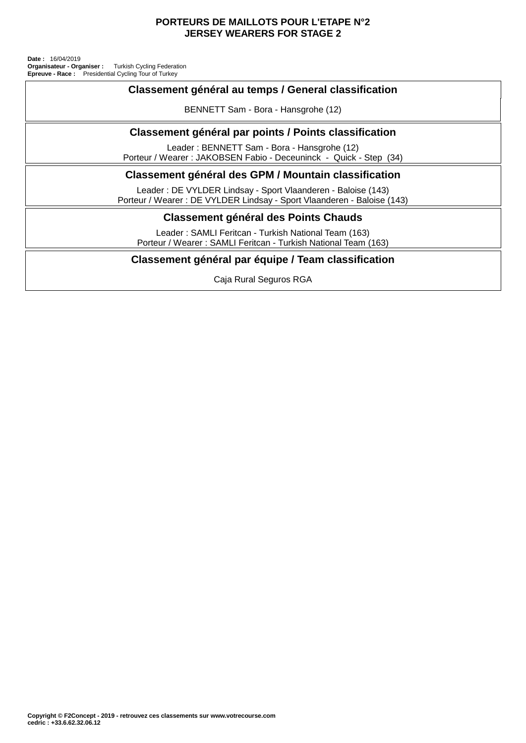### **PORTEURS DE MAILLOTS POUR L'ETAPE N°2 JERSEY WEARERS FOR STAGE 2**

Presidential Cycling Tour of Turkey Turkish Cycling Federation **Date :** 16/04/2019 **Organisateur - Organiser : Epreuve - Race :**

# **Classement général au temps / General classification**

BENNETT Sam - Bora - Hansgrohe (12)

# **Classement général par points / Points classification**

Leader : BENNETT Sam - Bora - Hansgrohe (12) Porteur / Wearer : JAKOBSEN Fabio - Deceuninck - Quick - Step (34)

# **Classement général des GPM / Mountain classification**

Leader : DE VYLDER Lindsay - Sport Vlaanderen - Baloise (143) Porteur / Wearer : DE VYLDER Lindsay - Sport Vlaanderen - Baloise (143)

## **Classement général des Points Chauds**

Leader : SAMLI Feritcan - Turkish National Team (163) Porteur / Wearer : SAMLI Feritcan - Turkish National Team (163)

# **Classement général par équipe / Team classification**

Caja Rural Seguros RGA